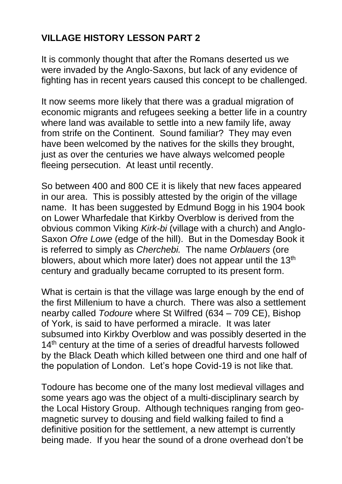## **VILLAGE HISTORY LESSON PART 2**

It is commonly thought that after the Romans deserted us we were invaded by the Anglo-Saxons, but lack of any evidence of fighting has in recent years caused this concept to be challenged.

It now seems more likely that there was a gradual migration of economic migrants and refugees seeking a better life in a country where land was available to settle into a new family life, away from strife on the Continent. Sound familiar? They may even have been welcomed by the natives for the skills they brought, just as over the centuries we have always welcomed people fleeing persecution. At least until recently.

So between 400 and 800 CE it is likely that new faces appeared in our area. This is possibly attested by the origin of the village name. It has been suggested by Edmund Bogg in his 1904 book on Lower Wharfedale that Kirkby Overblow is derived from the obvious common Viking *Kirk-bi* (village with a church) and Anglo-Saxon *Ofre Lowe* (edge of the hill). But in the Domesday Book it is referred to simply as *Cherchebi.* The name *Orblauers* (ore blowers, about which more later) does not appear until the 13<sup>th</sup> century and gradually became corrupted to its present form.

What is certain is that the village was large enough by the end of the first Millenium to have a church. There was also a settlement nearby called *Todoure* where St Wilfred (634 – 709 CE), Bishop of York, is said to have performed a miracle. It was later subsumed into Kirkby Overblow and was possibly deserted in the 14<sup>th</sup> century at the time of a series of dreadful harvests followed by the Black Death which killed between one third and one half of the population of London. Let's hope Covid-19 is not like that.

Todoure has become one of the many lost medieval villages and some years ago was the object of a multi-disciplinary search by the Local History Group. Although techniques ranging from geomagnetic survey to dousing and field walking failed to find a definitive position for the settlement, a new attempt is currently being made. If you hear the sound of a drone overhead don't be